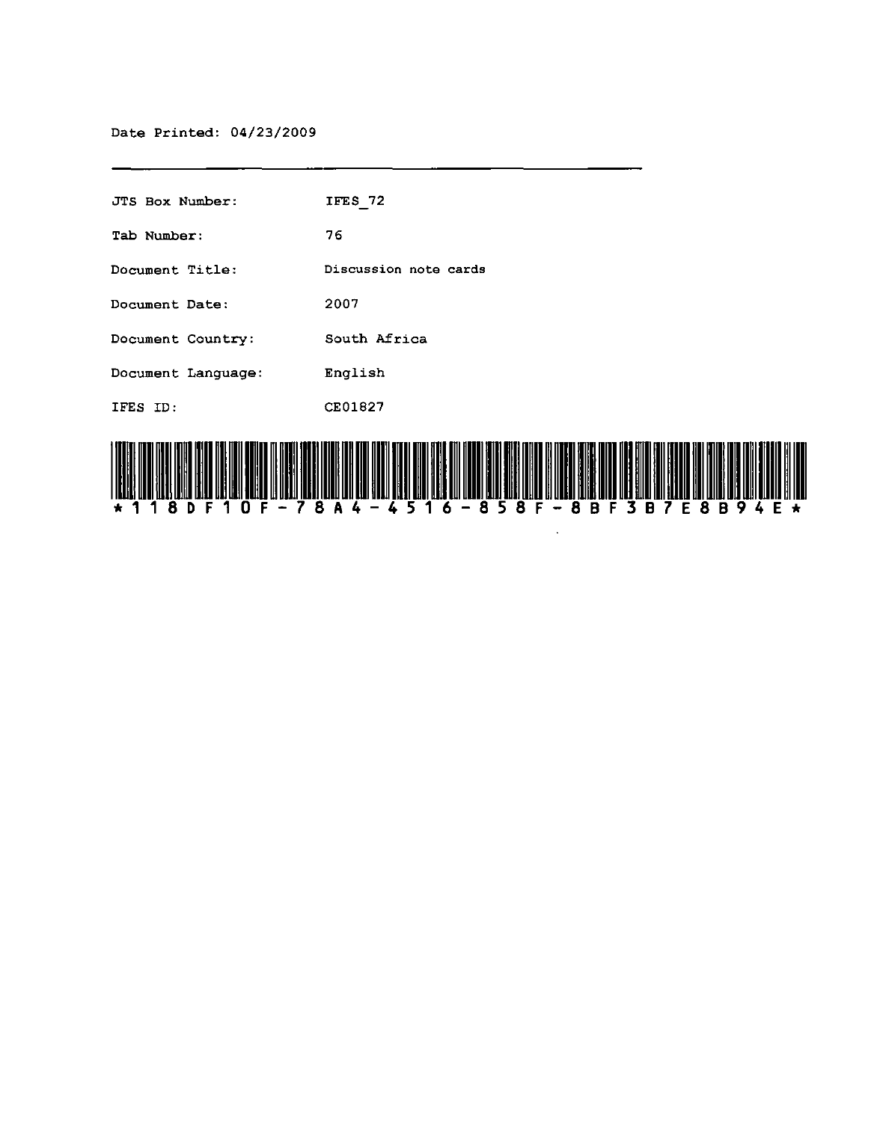| JTS Box Number:                                                      | IFES 72                         |
|----------------------------------------------------------------------|---------------------------------|
| Tab Number:                                                          | 76                              |
| Document Title:                                                      | Discussion note cards           |
| Document Date:                                                       | 2007                            |
| Document Country:                                                    | South Africa                    |
| Document Language:                                                   | English                         |
| IFES ID:                                                             | CE01827                         |
| ) (ORIC) 11291 1221 12110 12151 131 1121 531 23 11 11221 1920 1930 1 | , 1911-1919 1919-1920 1931-1931 |

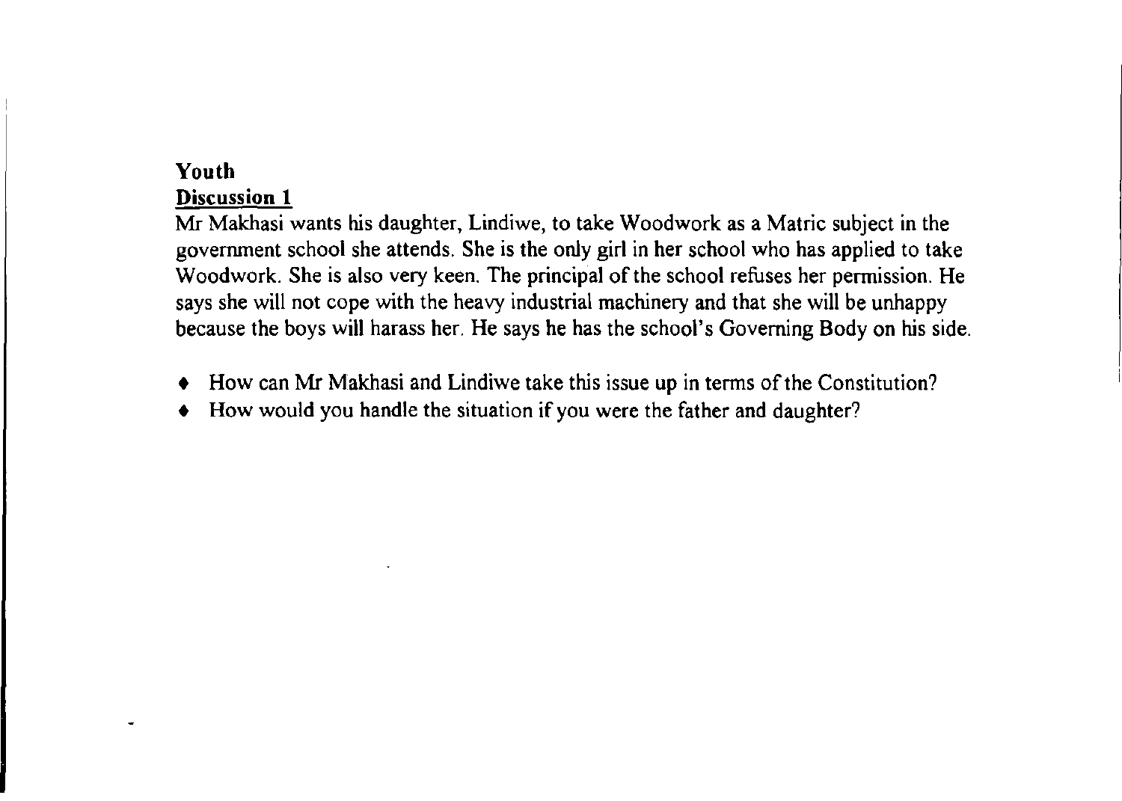## **Youth**

٠

### **Discussion 1**

Mr Makhasi wants his daughter, Lindiwe, to take Woodwork as a Matric subject in the government school she attends. She is the only girl in her school who has applied to take Woodwork. She is also very keen. The principal of the school refuses her permission. He says she will not cope with the heavy industrial machinery and that she will be unhappy because the boys will harass her. He says he has the school's Governing Body on his side.

- How can Mr Makhasi and Lindiwe take this issue up in terms of the Constitution?
- How would you handle the situation if you were the father and daughter?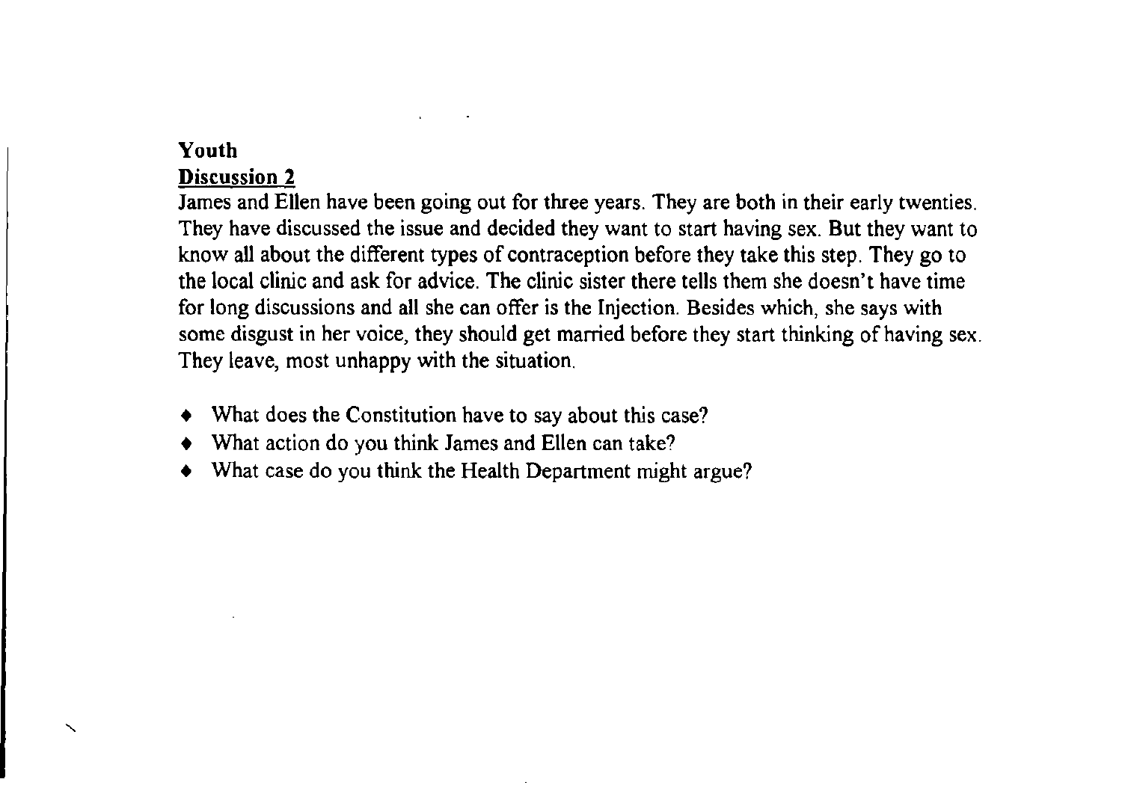### **Youth**

"

## **Discussion 2**

James and Ellen have been going out for three years. They are both in their early twenties. They have discussed the issue and decided they want to start having sex. But they want to know all about the different types of contraception before they take this step. They go to the local clinic and ask for advice. The clinic sister there tells them she doesn't have time for long discussions and all she can offer is the Injection. Besides which, she says with some disgust in her voice, they should get married before they start thinking of having sex. They leave, most unhappy with the situation.

- What does the Constitution have to say about this case?
- What action do you think James and Ellen can take?
- What case do you think the Health Department might argue?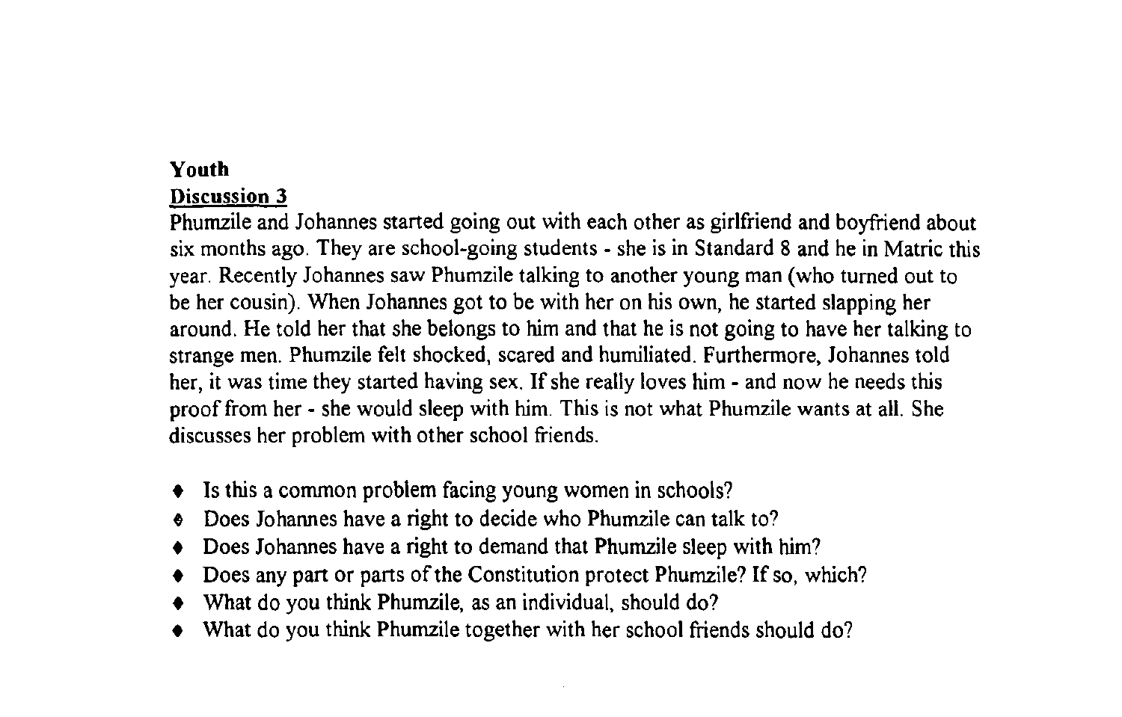# **Youth**

# **Discussion 3**

Phurnzile and Johannes started going out with each other as girlfriend and boyfriend about six months ago. They are school-going students - she is in Standard 8 and he in Matric this year. Recently Johannes saw Phumzile talking to another young man (who turned out to be her cousin). When Johannes got to be with her on his own, he started slapping her around. He told her that she belongs to him and that he is not going to have her talking to strange men. Phurnzile felt shocked, scared and humiliated. Furthermore, Johannes told her, it was time they started having sex. If she really loves him - and now he needs this proof from her - she would sleep with him. This is not what Phumzile wants at all. She discusses her problem with other school friends.

- Is this a common problem facing young women in schools?
- $\bullet$  Does Johannes have a right to decide who Phumzile can talk to?
- Does Johannes have a right to demand that Phumzile sleep with him?
- Does any part or parts of the Constitution protect Phumzile? If so, which?
- What do you think Phumzile, as an individual, should do?
- What do you think Phumzile together with her school friends should do?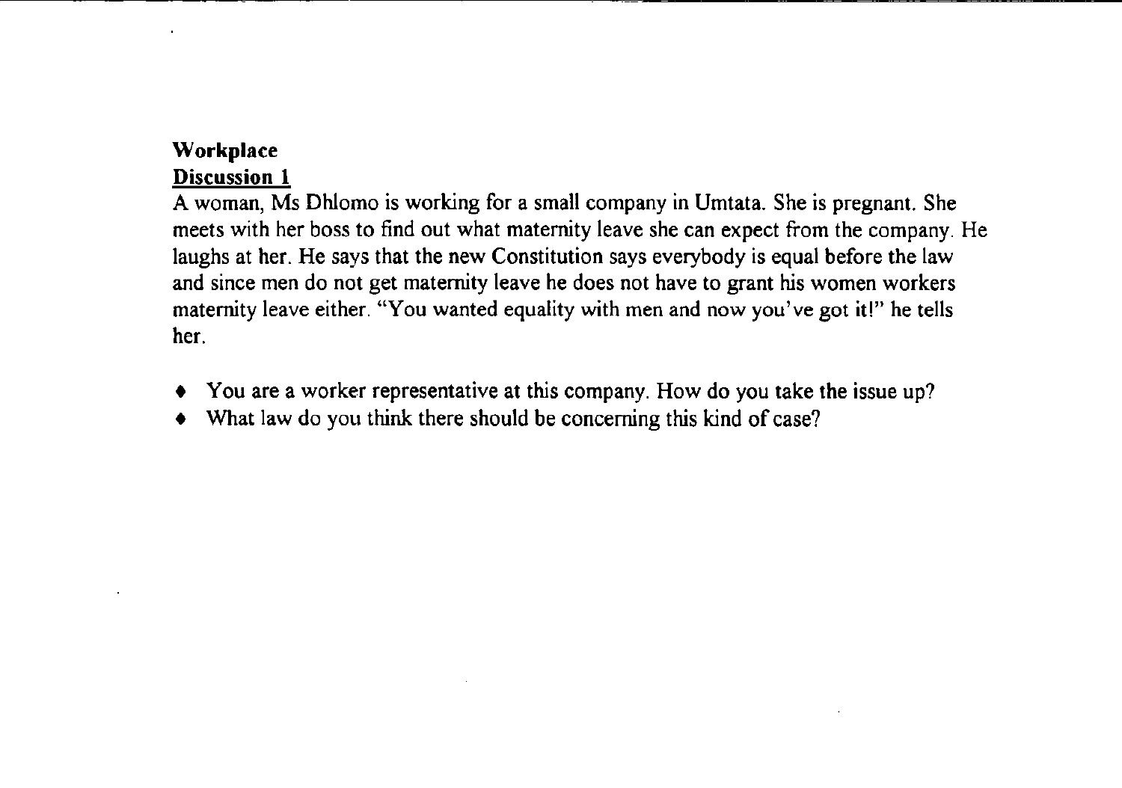# **Workplace**

# **Discussion 1**

A woman, Ms Dhlomo is working for a small company in Umtata. She is pregnant. She meets with her boss to find out what maternity leave she can expect from the company. He laughs at her. He says that the new Constitution says everybody is equal before the law and since men do not get maternity leave he does not have to grant his women workers maternity leave either. "You wanted equality with men and now you've got it!" he tells her.

- You are a worker representative at this company. How do you take the issue up?
- What law do you think there should be concerning this kind of case?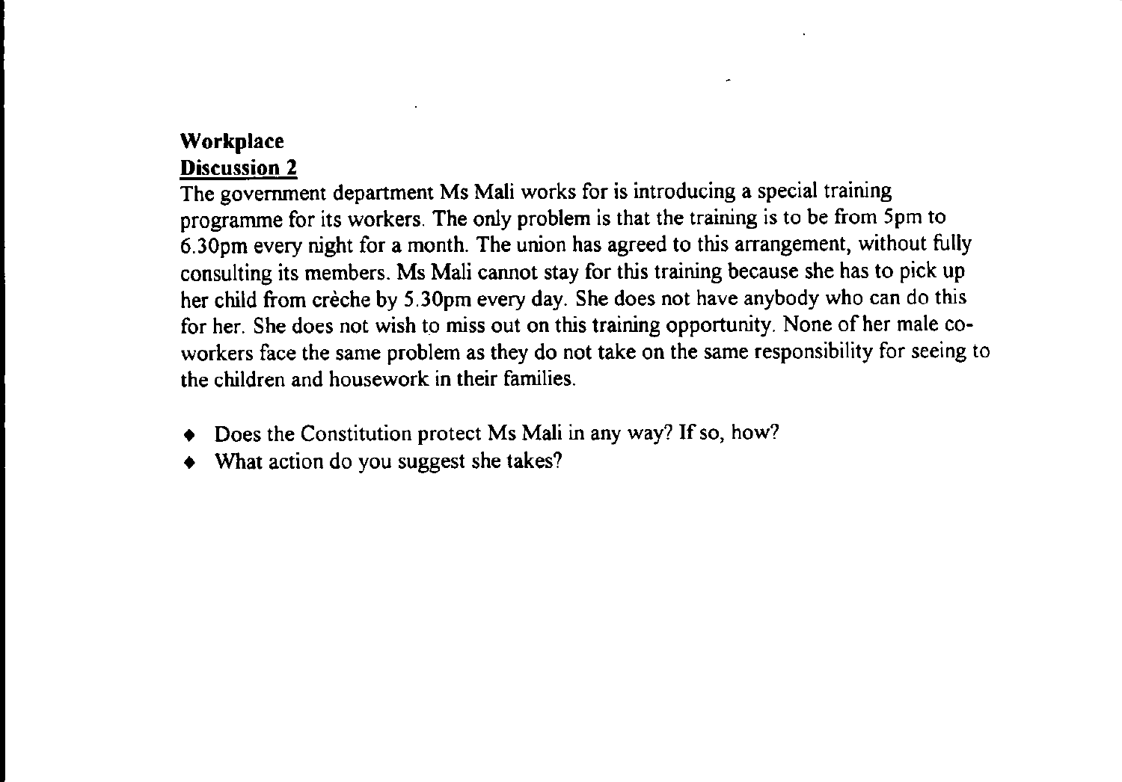#### **Workplace** Discussion 2

The government department Ms Mali works for is introducing a special training programme for its workers. The only problem is that the training is to be from 5 pm to 6.30pm every night for a month. The union has agreed to this arrangement, without fully consulting its members. Ms Mali cannot stay for this training because she has to pick up her child from crèche by 5.30pm every day. She does not have anybody who can do this for her. She does not wish to miss out on this training opportunity. None of her male coworkers face the same problem as they do not take on the same responsibility for seeing to the children and housework in their families.

- Does the Constitution protect Ms Mali in any way? If so, how?
- What action do you suggest she takes?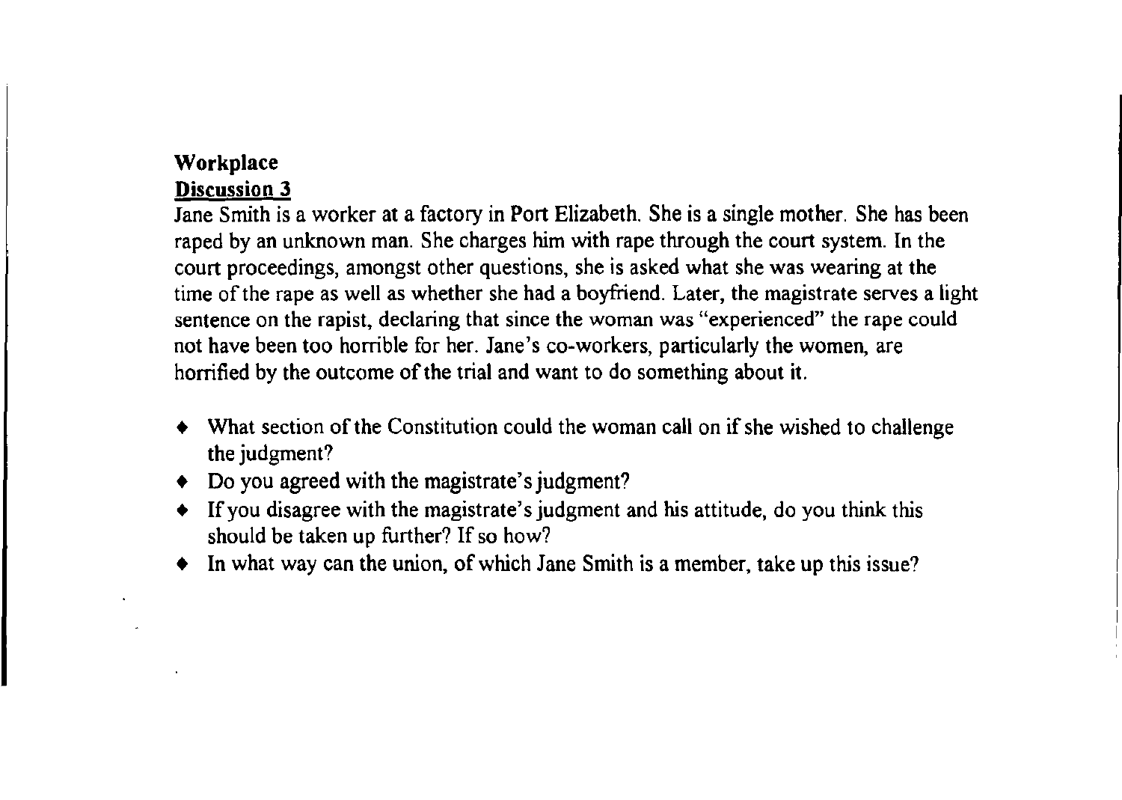# Workplace

# Discussion 3

Jane Smith is a worker at a factory in Port Elizabeth. She is a single mother. She has been raped by an unknown man. She charges him with rape through the court system. In the court proceedings, amongst other questions, she is asked what she was wearing at the time of the rape as well as whether she had a boyfriend. Later, the magistrate serves a light sentence on the rapist, declaring that since the woman was "experienced" the rape could not have been too horrible for her. Jane's co-workers, particularly the women, are horrified by the outcome of the trial and want to do something about it.

- What section of the Constitution could the woman call on if she wished to challenge the judgment?
- Do you agreed with the magistrate's judgment?
- If you disagree with the magistrate's judgment and his attitude, do you think this should be taken up further? If so how?
- In what way can the union, of which Jane Smith is a member, take up this issue?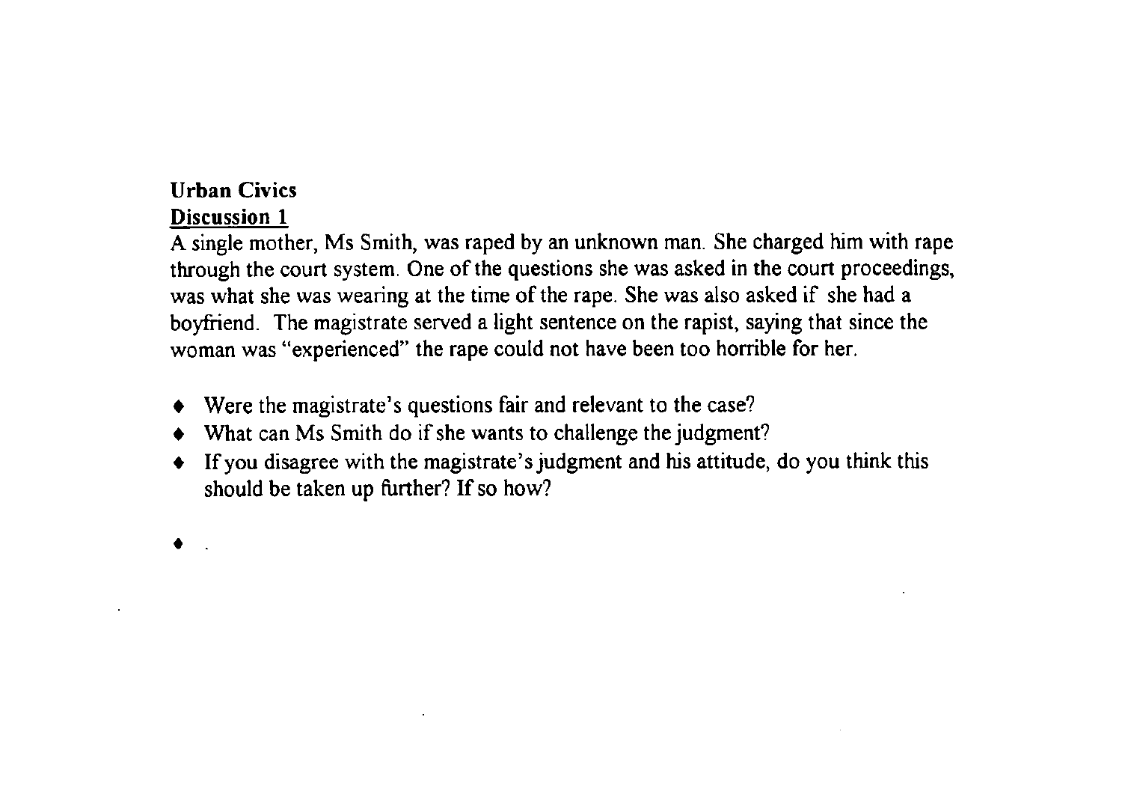### **Urban Civics Discussion 1**

A single mother, Ms Smith, was raped by an unknown man. She charged him with rape through the court system. One of the questions she was asked in the court proceedings, was what she was wearing at the time of the rape. She was also asked if she had a boyfriend. The magistrate served a light sentence on the rapist, saying that since the woman was "experienced" the rape could not have been too horrible for her.

- Were the magistrate's questions fair and relevant to the case?
- What can Ms Smith do if she wants to challenge the judgment?
- If you disagree with the magistrate's judgment and his attitude, do you think this should be taken up further? If so how?
- •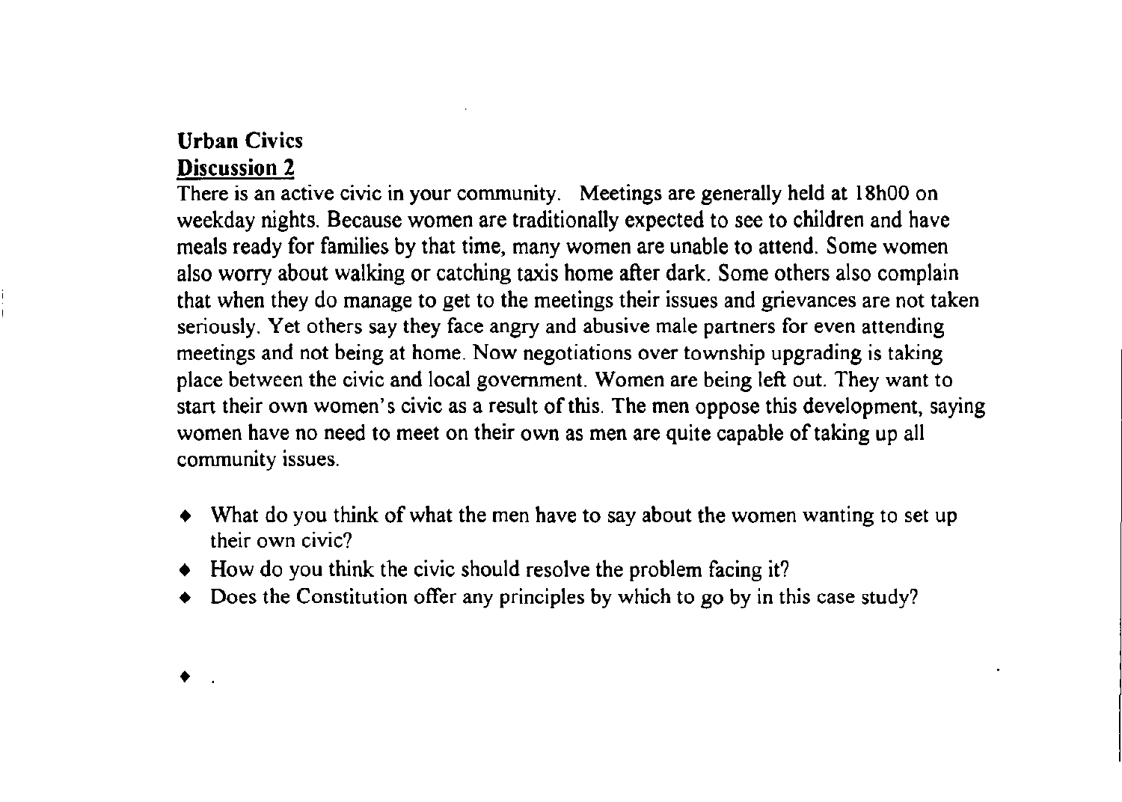### Urban Civics Discussion 2

There is an active civic in your community. Meetings are generally held at 18h00 on weekday nights. Because women are traditionally expected to see to children and have meals ready for families by that time, many women are unable to attend. Some women also worry about walking or catching taxis home after dark. Some others also complain that when they do manage to get to the meetings their issues and grievances are not taken seriously. Yet others say they face angry and abusive male partners for even attending meetings and not being at home. Now negotiations over township upgrading is taking place between the civic and local government. Women are being left out. They want to start their own women's civic as a result of this. The men oppose this development, saying women have no need to meet on their own as men are quite capable of taking up all community issues.

- What do you think of what the men have to say about the women wanting to set up their own civic?
- $\bullet$  How do you think the civic should resolve the problem facing it?
- Does the Constitution offer any principles by which to go by in this case study?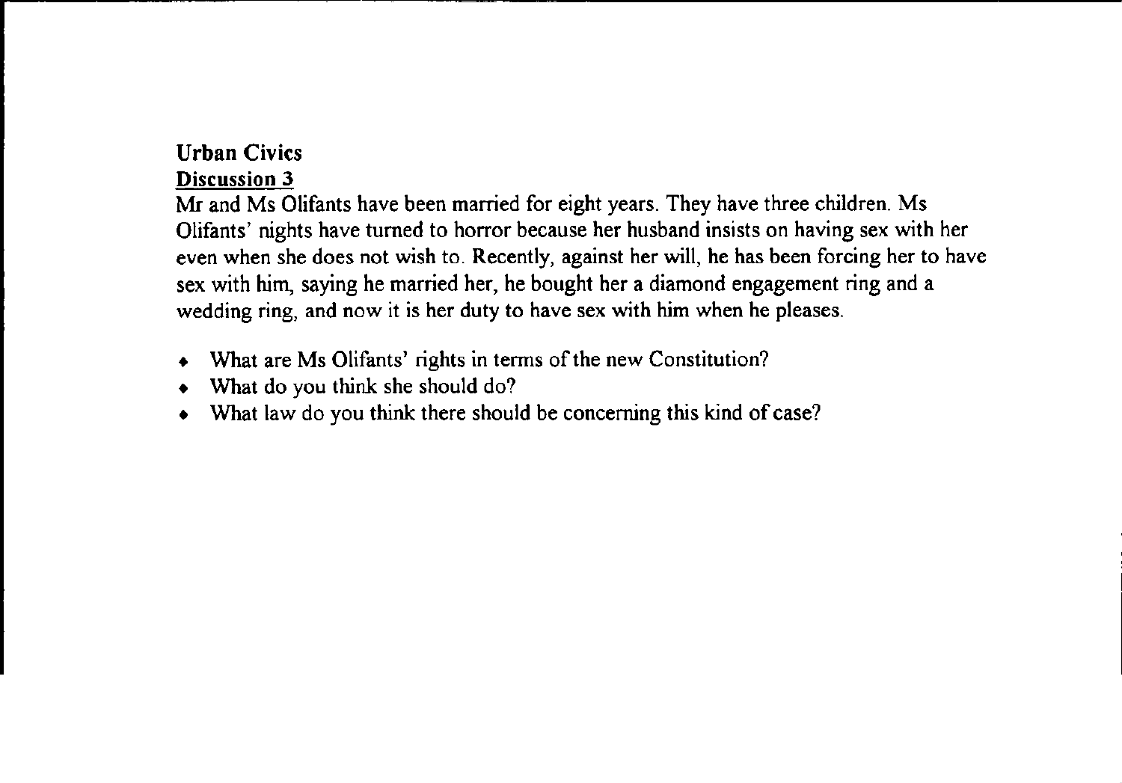# Urban Civics

# Discussion 3

Mr and Ms Olifants have been married for eight years. They have three children. Ms Olifants' nights have turned to horror because her husband insists on having sex with her even when she does not wish to. Recently, against her will, he has been forcing her to have sex with him, saying he married her, he bought her a diamond engagement ring and a wedding ring, and now it is her duty to have sex with him when he pleases.

- What are Ms Olifants' rights in terms of the new Constitution?
- What do you think she should do?
- What law do you think there should be concerning this kind of case?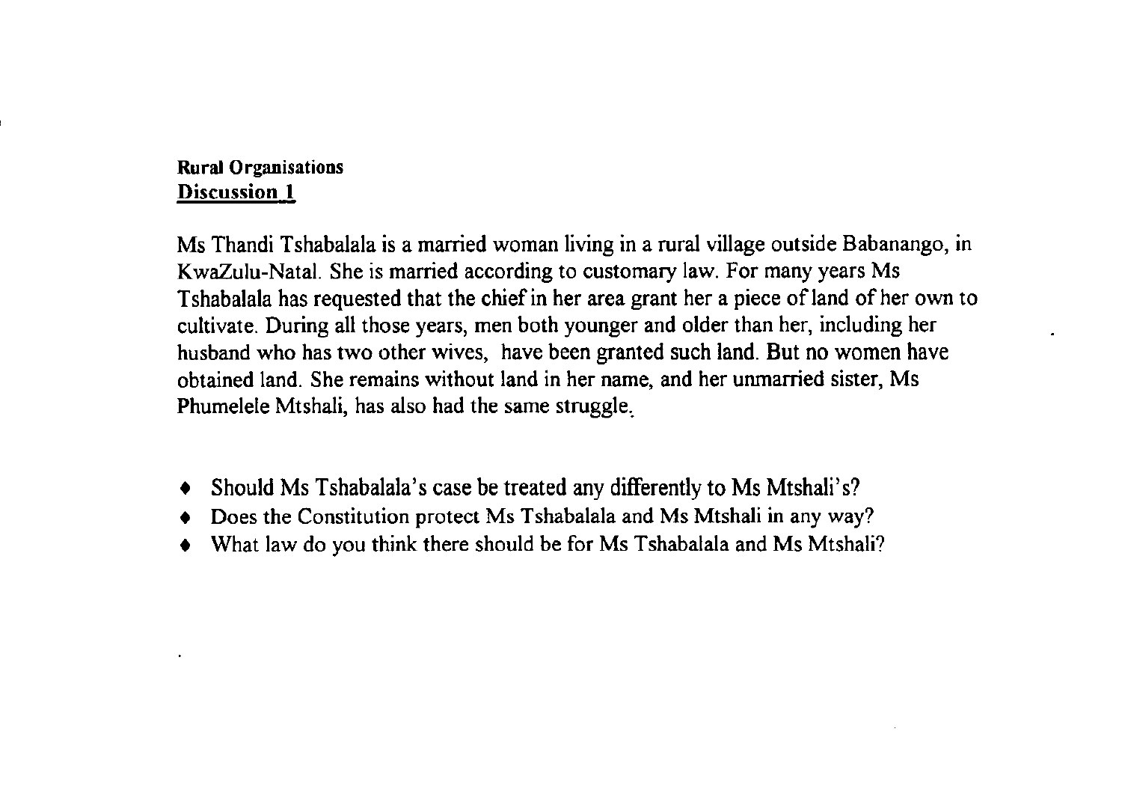## **Rural** Organisations Discussion **I**

Ms Thandi Tshabalala is a married woman living in a rural village outside Babanango, in KwaZulu-Natal. She is married according to customary law. For many years Ms Tshabalala has requested that the chief in her area grant her a piece of land of her own to cultivate. During all those years, men both younger and older than her, including her husband who has two other wives, have been granted such land. But no women have obtained land. She remains without land in her name, and her unmarried sister, Ms Phumelele Mtshali, has also had the same struggle,

- Should Ms Tshabalala's case be treated any differently to Ms Mtshali's?
- Does the Constitution protect Ms Tshabalala and Ms Mtshali in any way?
- What law do you think there should be for Ms Tshabalala and Ms Mtshali?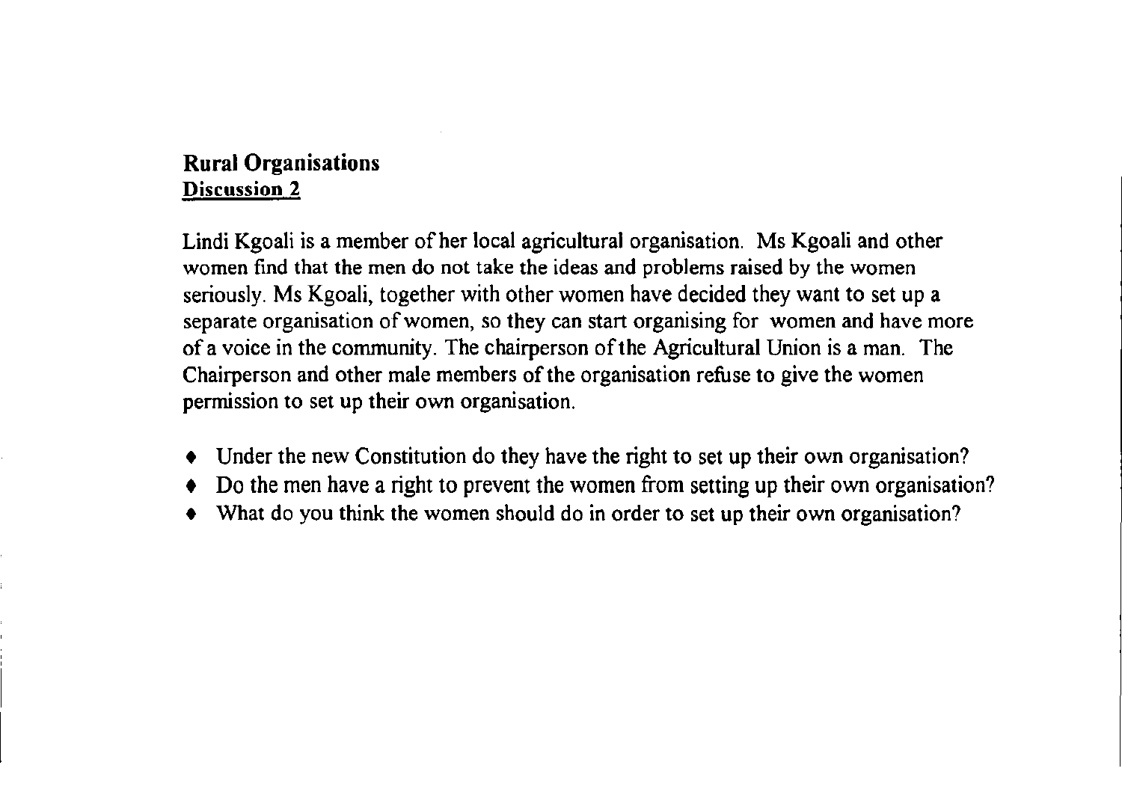# **Rural** Organisations Discussion 2

Lindi Kgoali is a member of her local agricultural organisation. Ms Kgoali and other women find that the men do not take the ideas and problems raised by the women seriously. Ms Kgoali, together with other women have decided they want to set up a separate organisation of women, so they can start organising for women and have more of a voice in the community. The chairperson of the Agricultural Union is a man. The Chairperson and other male members of the organisation refuse to give the women permission to set up their own organisation.

- Under the new Constitution do they have the right to set up their own organisation?
- Do the men have a right to prevent the women from setting up their own organisation?
- What do you think the women should do in order to set up their own organisation?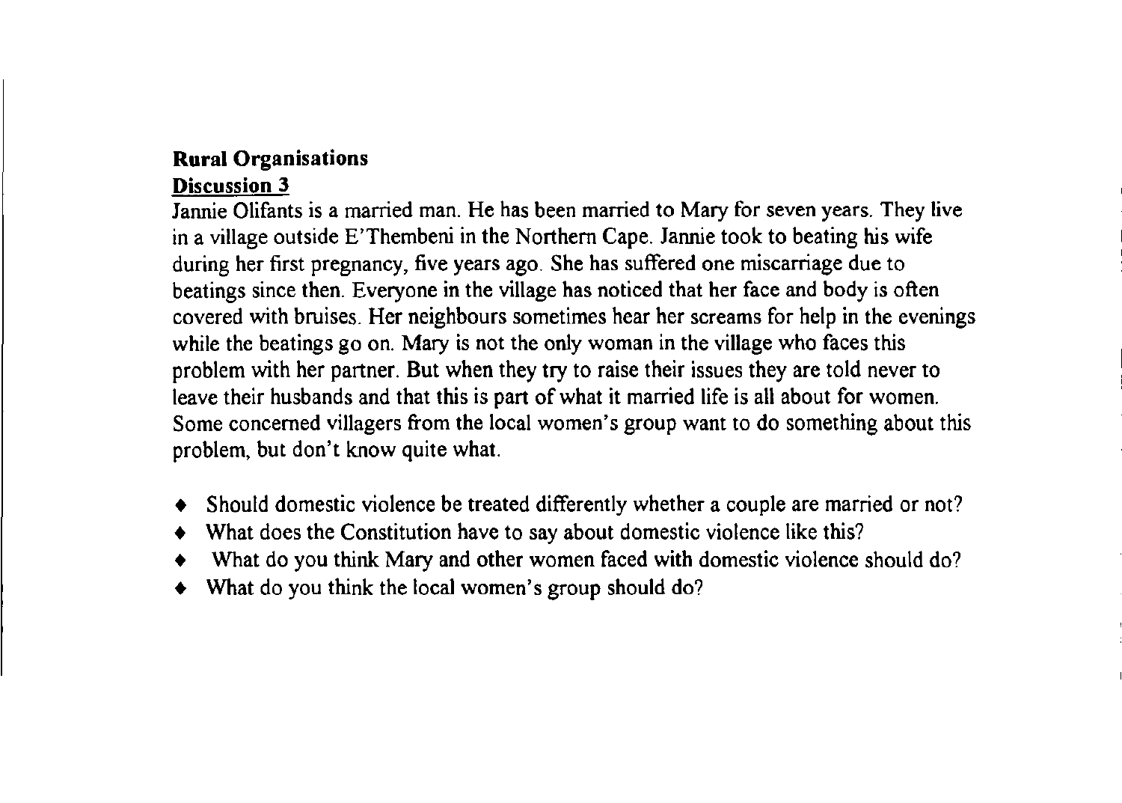## **Rural** Organisations

## Discussion 3

Jannie Olifants is a married man. He has been married to Mary for seven years. They live in a village outside E'Thembeni in the Northern Cape. Jannie took to beating his wife during her first pregnancy, five years ago. She has suffered one miscarriage due to beatings since then. Everyone in the village has noticed that her face and body is often covered with bruises. Her neighbours sometimes hear her screams for help in the evenings while the beatings go on. Mary is not the only woman in the village who faces this problem with her partner. But when they try to raise their issues they are told never to leave their husbands and that this is part of what it married life is all about for women. Some concerned villagers from the local women's group want to do something about this problem, but don't know quite what.

- Should domestic violence be treated differently whether a couple are married or not?
- What does the Constitution have to say about domestic violence like this?
- What do you think Mary and other women faced with domestic violence should do?
- What do you think the local women's group should do?